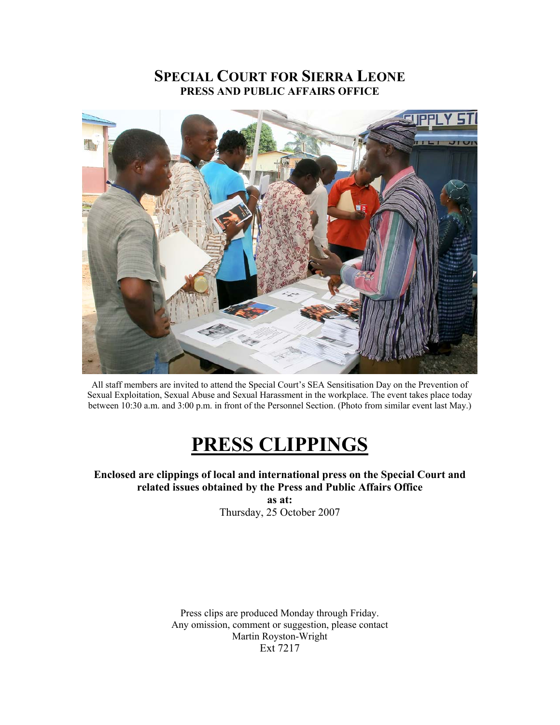# **SPECIAL COURT FOR SIERRA LEONE PRESS AND PUBLIC AFFAIRS OFFICE**



All staff members are invited to attend the Special Court's SEA Sensitisation Day on the Prevention of Sexual Exploitation, Sexual Abuse and Sexual Harassment in the workplace. The event takes place today between 10:30 a.m. and 3:00 p.m. in front of the Personnel Section. (Photo from similar event last May.)

# **PRESS CLIPPINGS**

**Enclosed are clippings of local and international press on the Special Court and related issues obtained by the Press and Public Affairs Office** 

> **as at:**  Thursday, 25 October 2007

Press clips are produced Monday through Friday. Any omission, comment or suggestion, please contact Martin Royston-Wright Ext 7217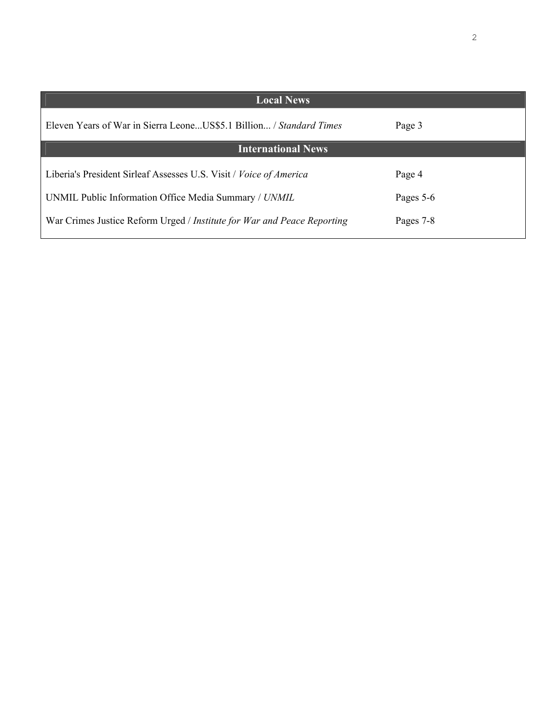| <b>Local News</b>                                                       |           |
|-------------------------------------------------------------------------|-----------|
| Eleven Years of War in Sierra LeoneUS\$5.1 Billion / Standard Times     | Page 3    |
| <b>International News</b>                                               |           |
| Liberia's President Sirleaf Assesses U.S. Visit / Voice of America      | Page 4    |
| UNMIL Public Information Office Media Summary / UNMIL                   | Pages 5-6 |
| War Crimes Justice Reform Urged / Institute for War and Peace Reporting | Pages 7-8 |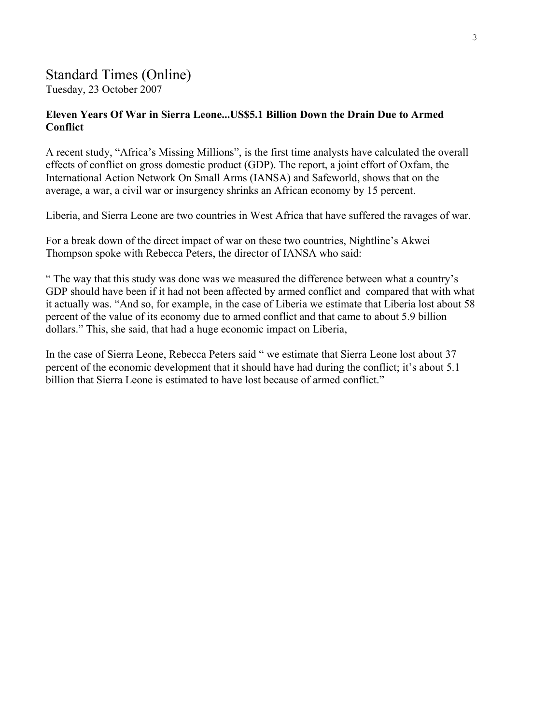# Standard Times (Online)

Tuesday, 23 October 2007

#### **Eleven Years Of War in Sierra Leone...US\$5.1 Billion Down the Drain Due to Armed Conflict**

A recent study, "Africa's Missing Millions", is the first time analysts have calculated the overall effects of conflict on gross domestic product (GDP). The report, a joint effort of Oxfam, the International Action Network On Small Arms (IANSA) and Safeworld, shows that on the average, a war, a civil war or insurgency shrinks an African economy by 15 percent.

Liberia, and Sierra Leone are two countries in West Africa that have suffered the ravages of war.

For a break down of the direct impact of war on these two countries, Nightline's Akwei Thompson spoke with Rebecca Peters, the director of IANSA who said:

" The way that this study was done was we measured the difference between what a country's GDP should have been if it had not been affected by armed conflict and compared that with what it actually was. "And so, for example, in the case of Liberia we estimate that Liberia lost about 58 percent of the value of its economy due to armed conflict and that came to about 5.9 billion dollars." This, she said, that had a huge economic impact on Liberia,

In the case of Sierra Leone, Rebecca Peters said " we estimate that Sierra Leone lost about 37 percent of the economic development that it should have had during the conflict; it's about 5.1 billion that Sierra Leone is estimated to have lost because of armed conflict."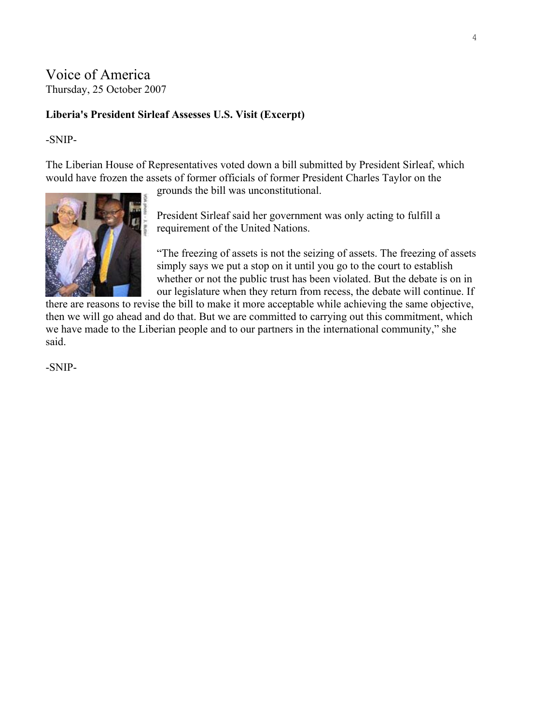## Voice of America Thursday, 25 October 2007

#### **Liberia's President Sirleaf Assesses U.S. Visit (Excerpt)**

-SNIP-

The Liberian House of Representatives voted down a bill submitted by President Sirleaf, which would have frozen the assets of former officials of former President Charles Taylor on the

grounds the bill was unconstitutional.



President Sirleaf said her government was only acting to fulfill a requirement of the United Nations.

"The freezing of assets is not the seizing of assets. The freezing of assets simply says we put a stop on it until you go to the court to establish whether or not the public trust has been violated. But the debate is on in our legislature when they return from recess, the debate will continue. If

there are reasons to revise the bill to make it more acceptable while achieving the same objective, then we will go ahead and do that. But we are committed to carrying out this commitment, which we have made to the Liberian people and to our partners in the international community," she said.

-SNIP-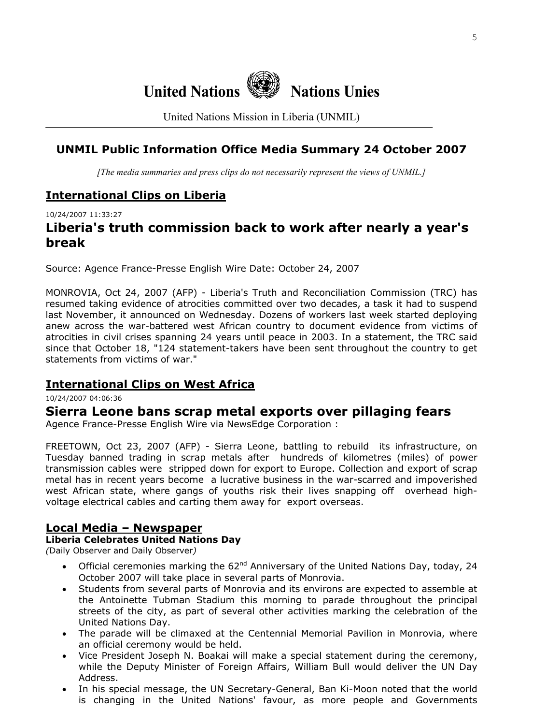

United Nations Mission in Liberia (UNMIL)

## **UNMIL Public Information Office Media Summary 24 October 2007**

*[The media summaries and press clips do not necessarily represent the views of UNMIL.]*

### **International Clips on Liberia**

10/24/2007 11:33:27

# **Liberia's truth commission back to work after nearly a year's break**

Source: Agence France-Presse English Wire Date: October 24, 2007

MONROVIA, Oct 24, 2007 (AFP) - Liberia's Truth and Reconciliation Commission (TRC) has resumed taking evidence of atrocities committed over two decades, a task it had to suspend last November, it announced on Wednesday. Dozens of workers last week started deploying anew across the war-battered west African country to document evidence from victims of atrocities in civil crises spanning 24 years until peace in 2003. In a statement, the TRC said since that October 18, "124 statement-takers have been sent throughout the country to get statements from victims of war."

#### **International Clips on West Africa**

10/24/2007 04:06:36

#### **Sierra Leone bans scrap metal exports over pillaging fears**

Agence France-Presse English Wire via NewsEdge Corporation :

FREETOWN, Oct 23, 2007 (AFP) - Sierra Leone, battling to rebuild its infrastructure, on Tuesday banned trading in scrap metals after hundreds of kilometres (miles) of power transmission cables were stripped down for export to Europe. Collection and export of scrap metal has in recent years become a lucrative business in the war-scarred and impoverished west African state, where gangs of youths risk their lives snapping off overhead highvoltage electrical cables and carting them away for export overseas.

#### **Local Media – Newspaper**

#### **Liberia Celebrates United Nations Day**

*(*Daily Observer and Daily Observer*)* 

- Official ceremonies marking the  $62^{nd}$  Anniversary of the United Nations Day, today, 24 October 2007 will take place in several parts of Monrovia.
- Students from several parts of Monrovia and its environs are expected to assemble at the Antoinette Tubman Stadium this morning to parade throughout the principal streets of the city, as part of several other activities marking the celebration of the United Nations Day.
- The parade will be climaxed at the Centennial Memorial Pavilion in Monrovia, where an official ceremony would be held.
- Vice President Joseph N. Boakai will make a special statement during the ceremony, while the Deputy Minister of Foreign Affairs, William Bull would deliver the UN Day Address.
- In his special message, the UN Secretary-General, Ban Ki-Moon noted that the world is changing in the United Nations' favour, as more people and Governments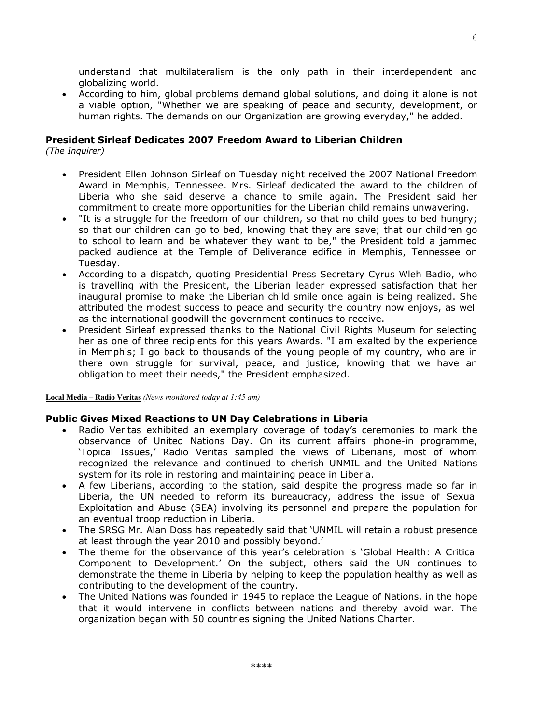understand that multilateralism is the only path in their interdependent and globalizing world.

• According to him, global problems demand global solutions, and doing it alone is not a viable option, "Whether we are speaking of peace and security, development, or human rights. The demands on our Organization are growing everyday," he added.

#### **President Sirleaf Dedicates 2007 Freedom Award to Liberian Children**

*(The Inquirer)* 

- President Ellen Johnson Sirleaf on Tuesday night received the 2007 National Freedom Award in Memphis, Tennessee. Mrs. Sirleaf dedicated the award to the children of Liberia who she said deserve a chance to smile again. The President said her commitment to create more opportunities for the Liberian child remains unwavering.
- "It is a struggle for the freedom of our children, so that no child goes to bed hungry; so that our children can go to bed, knowing that they are save; that our children go to school to learn and be whatever they want to be," the President told a jammed packed audience at the Temple of Deliverance edifice in Memphis, Tennessee on Tuesday.
- According to a dispatch, quoting Presidential Press Secretary Cyrus Wleh Badio, who is travelling with the President, the Liberian leader expressed satisfaction that her inaugural promise to make the Liberian child smile once again is being realized. She attributed the modest success to peace and security the country now enjoys, as well as the international goodwill the government continues to receive.
- President Sirleaf expressed thanks to the National Civil Rights Museum for selecting her as one of three recipients for this years Awards. "I am exalted by the experience in Memphis; I go back to thousands of the young people of my country, who are in there own struggle for survival, peace, and justice, knowing that we have an obligation to meet their needs," the President emphasized.

**Local Media – Radio Veritas** *(News monitored today at 1:45 am)* 

#### **Public Gives Mixed Reactions to UN Day Celebrations in Liberia**

- Radio Veritas exhibited an exemplary coverage of today's ceremonies to mark the observance of United Nations Day. On its current affairs phone-in programme, 'Topical Issues,' Radio Veritas sampled the views of Liberians, most of whom recognized the relevance and continued to cherish UNMIL and the United Nations system for its role in restoring and maintaining peace in Liberia.
- A few Liberians, according to the station, said despite the progress made so far in Liberia, the UN needed to reform its bureaucracy, address the issue of Sexual Exploitation and Abuse (SEA) involving its personnel and prepare the population for an eventual troop reduction in Liberia.
- The SRSG Mr. Alan Doss has repeatedly said that 'UNMIL will retain a robust presence at least through the year 2010 and possibly beyond.'
- The theme for the observance of this year's celebration is 'Global Health: A Critical Component to Development.' On the subject, others said the UN continues to demonstrate the theme in Liberia by helping to keep the population healthy as well as contributing to the development of the country.
- The United Nations was founded in 1945 to replace the League of Nations, in the hope that it would intervene in conflicts between nations and thereby avoid war. The organization began with 50 countries signing the United Nations Charter.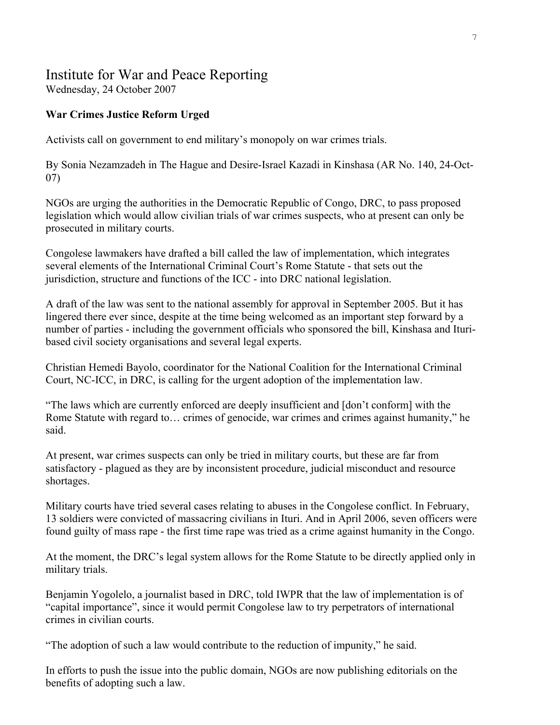# Institute for War and Peace Reporting

Wednesday, 24 October 2007

### **War Crimes Justice Reform Urged**

Activists call on government to end military's monopoly on war crimes trials.

By Sonia Nezamzadeh in The Hague and Desire-Israel Kazadi in Kinshasa (AR No. 140, 24-Oct-07)

NGOs are urging the authorities in the Democratic Republic of Congo, DRC, to pass proposed legislation which would allow civilian trials of war crimes suspects, who at present can only be prosecuted in military courts.

Congolese lawmakers have drafted a bill called the law of implementation, which integrates several elements of the International Criminal Court's Rome Statute - that sets out the jurisdiction, structure and functions of the ICC - into DRC national legislation.

A draft of the law was sent to the national assembly for approval in September 2005. But it has lingered there ever since, despite at the time being welcomed as an important step forward by a number of parties - including the government officials who sponsored the bill, Kinshasa and Ituribased civil society organisations and several legal experts.

Christian Hemedi Bayolo, coordinator for the National Coalition for the International Criminal Court, NC-ICC, in DRC, is calling for the urgent adoption of the implementation law.

"The laws which are currently enforced are deeply insufficient and [don't conform] with the Rome Statute with regard to… crimes of genocide, war crimes and crimes against humanity," he said.

At present, war crimes suspects can only be tried in military courts, but these are far from satisfactory - plagued as they are by inconsistent procedure, judicial misconduct and resource shortages.

Military courts have tried several cases relating to abuses in the Congolese conflict. In February, 13 soldiers were convicted of massacring civilians in Ituri. And in April 2006, seven officers were found guilty of mass rape - the first time rape was tried as a crime against humanity in the Congo.

At the moment, the DRC's legal system allows for the Rome Statute to be directly applied only in military trials.

Benjamin Yogolelo, a journalist based in DRC, told IWPR that the law of implementation is of "capital importance", since it would permit Congolese law to try perpetrators of international crimes in civilian courts.

"The adoption of such a law would contribute to the reduction of impunity," he said.

In efforts to push the issue into the public domain, NGOs are now publishing editorials on the benefits of adopting such a law.